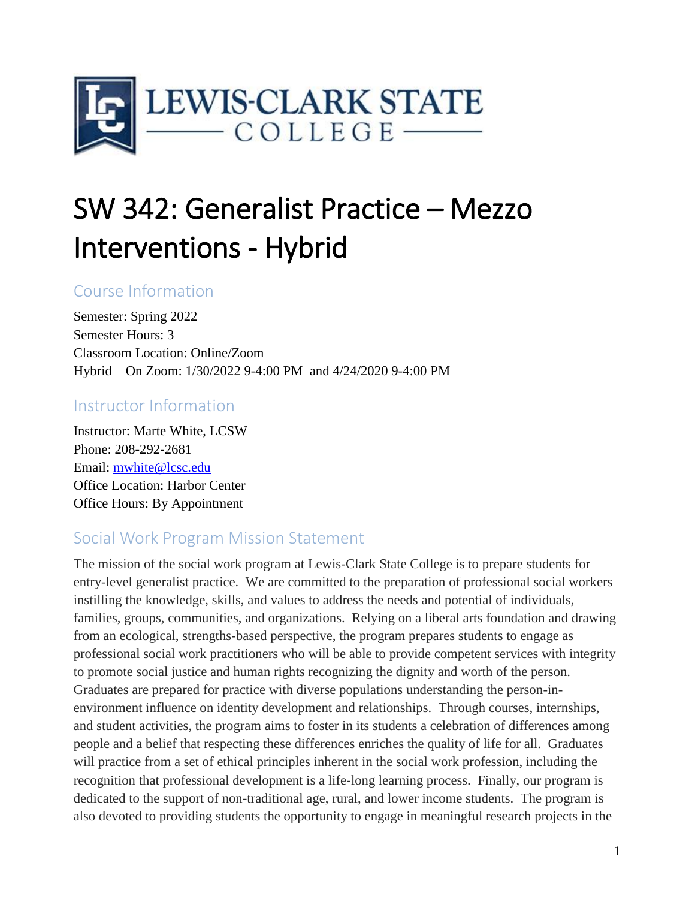

# SW 342: Generalist Practice – Mezzo Interventions - Hybrid

# Course Information

Semester: Spring 2022 Semester Hours: 3 Classroom Location: Online/Zoom Hybrid – On Zoom: 1/30/2022 9-4:00 PM and 4/24/2020 9-4:00 PM

# Instructor Information

Instructor: Marte White, LCSW Phone: 208-292-2681 Email: [mwhite@lcsc.edu](mailto:mwhite@lcsc.edu) Office Location: Harbor Center Office Hours: By Appointment

# Social Work Program Mission Statement

The mission of the social work program at Lewis-Clark State College is to prepare students for entry-level generalist practice. We are committed to the preparation of professional social workers instilling the knowledge, skills, and values to address the needs and potential of individuals, families, groups, communities, and organizations. Relying on a liberal arts foundation and drawing from an ecological, strengths-based perspective, the program prepares students to engage as professional social work practitioners who will be able to provide competent services with integrity to promote social justice and human rights recognizing the dignity and worth of the person. Graduates are prepared for practice with diverse populations understanding the person-inenvironment influence on identity development and relationships. Through courses, internships, and student activities, the program aims to foster in its students a celebration of differences among people and a belief that respecting these differences enriches the quality of life for all. Graduates will practice from a set of ethical principles inherent in the social work profession, including the recognition that professional development is a life-long learning process. Finally, our program is dedicated to the support of non-traditional age, rural, and lower income students. The program is also devoted to providing students the opportunity to engage in meaningful research projects in the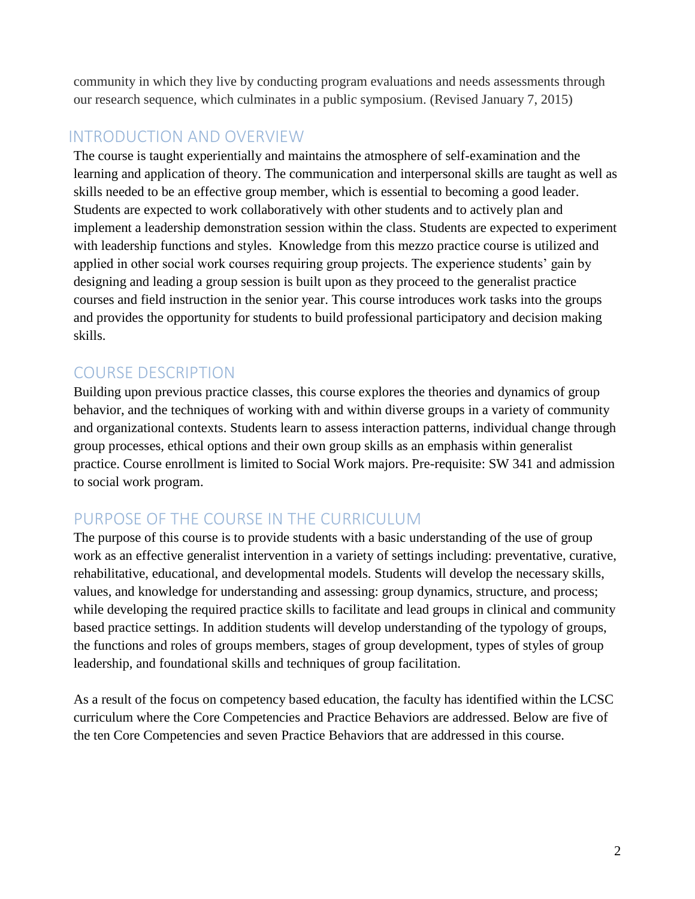community in which they live by conducting program evaluations and needs assessments through our research sequence, which culminates in a public symposium. (Revised January 7, 2015)

# INTRODUCTION AND OVERVIEW

The course is taught experientially and maintains the atmosphere of self-examination and the learning and application of theory. The communication and interpersonal skills are taught as well as skills needed to be an effective group member, which is essential to becoming a good leader. Students are expected to work collaboratively with other students and to actively plan and implement a leadership demonstration session within the class. Students are expected to experiment with leadership functions and styles. Knowledge from this mezzo practice course is utilized and applied in other social work courses requiring group projects. The experience students' gain by designing and leading a group session is built upon as they proceed to the generalist practice courses and field instruction in the senior year. This course introduces work tasks into the groups and provides the opportunity for students to build professional participatory and decision making skills.

# COURSE DESCRIPTION

Building upon previous practice classes, this course explores the theories and dynamics of group behavior, and the techniques of working with and within diverse groups in a variety of community and organizational contexts. Students learn to assess interaction patterns, individual change through group processes, ethical options and their own group skills as an emphasis within generalist practice. Course enrollment is limited to Social Work majors. Pre-requisite: SW 341 and admission to social work program.

# PURPOSE OF THE COURSE IN THE CURRICULUM

The purpose of this course is to provide students with a basic understanding of the use of group work as an effective generalist intervention in a variety of settings including: preventative, curative, rehabilitative, educational, and developmental models. Students will develop the necessary skills, values, and knowledge for understanding and assessing: group dynamics, structure, and process; while developing the required practice skills to facilitate and lead groups in clinical and community based practice settings. In addition students will develop understanding of the typology of groups, the functions and roles of groups members, stages of group development, types of styles of group leadership, and foundational skills and techniques of group facilitation.

As a result of the focus on competency based education, the faculty has identified within the LCSC curriculum where the Core Competencies and Practice Behaviors are addressed. Below are five of the ten Core Competencies and seven Practice Behaviors that are addressed in this course.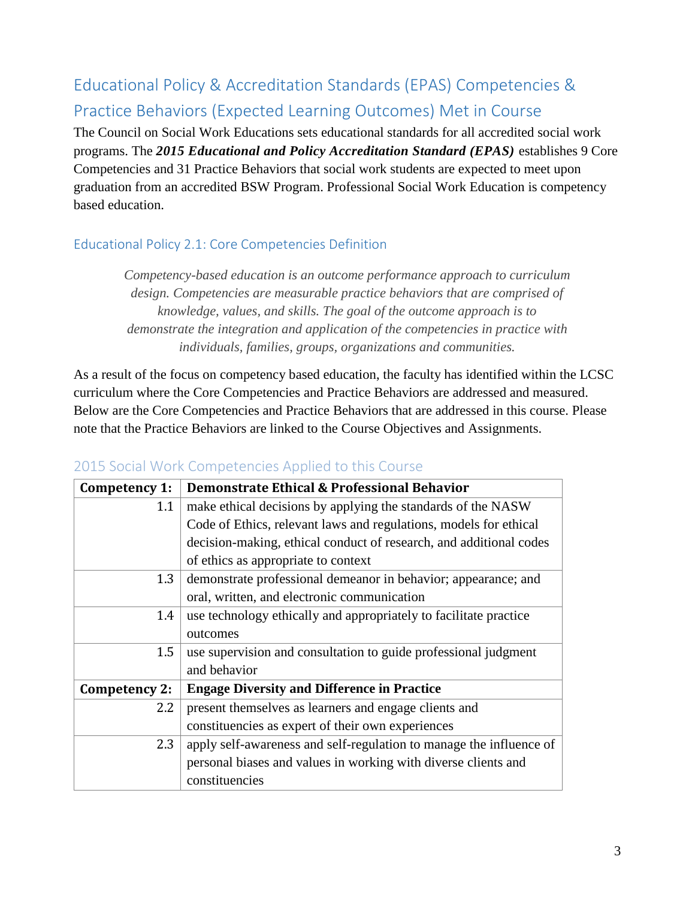# Educational Policy & Accreditation Standards (EPAS) Competencies & Practice Behaviors (Expected Learning Outcomes) Met in Course

The Council on Social Work Educations sets educational standards for all accredited social work programs. The *2015 Educational and Policy Accreditation Standard (EPAS)* establishes 9 Core Competencies and 31 Practice Behaviors that social work students are expected to meet upon graduation from an accredited BSW Program. Professional Social Work Education is competency based education.

# Educational Policy 2.1: Core Competencies Definition

*Competency-based education is an outcome performance approach to curriculum design. Competencies are measurable practice behaviors that are comprised of knowledge, values, and skills. The goal of the outcome approach is to demonstrate the integration and application of the competencies in practice with individuals, families, groups, organizations and communities.*

As a result of the focus on competency based education, the faculty has identified within the LCSC curriculum where the Core Competencies and Practice Behaviors are addressed and measured. Below are the Core Competencies and Practice Behaviors that are addressed in this course. Please note that the Practice Behaviors are linked to the Course Objectives and Assignments.

| Competency 1:    | Demonstrate Ethical & Professional Behavior                         |  |  |
|------------------|---------------------------------------------------------------------|--|--|
| 1.1              | make ethical decisions by applying the standards of the NASW        |  |  |
|                  | Code of Ethics, relevant laws and regulations, models for ethical   |  |  |
|                  | decision-making, ethical conduct of research, and additional codes  |  |  |
|                  | of ethics as appropriate to context                                 |  |  |
| 1.3              | demonstrate professional demeanor in behavior; appearance; and      |  |  |
|                  | oral, written, and electronic communication                         |  |  |
| 1.4              | use technology ethically and appropriately to facilitate practice   |  |  |
|                  | outcomes                                                            |  |  |
| 1.5              | use supervision and consultation to guide professional judgment     |  |  |
|                  | and behavior                                                        |  |  |
| Competency 2:    | <b>Engage Diversity and Difference in Practice</b>                  |  |  |
| $2.2\phantom{0}$ | present themselves as learners and engage clients and               |  |  |
|                  | constituencies as expert of their own experiences                   |  |  |
| 2.3              | apply self-awareness and self-regulation to manage the influence of |  |  |
|                  | personal biases and values in working with diverse clients and      |  |  |
|                  | constituencies                                                      |  |  |

# 2015 Social Work Competencies Applied to this Course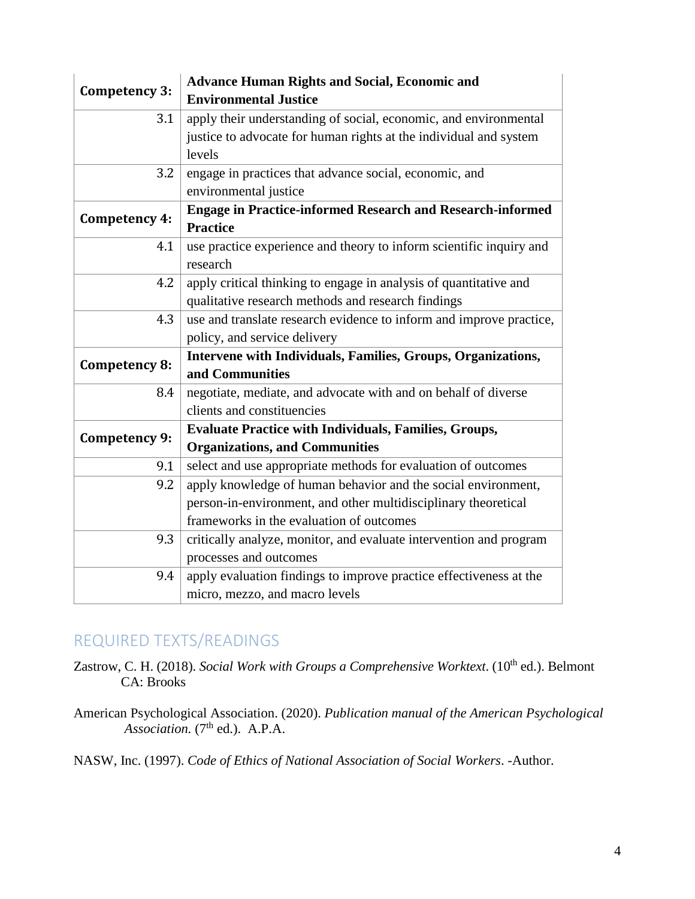| <b>Competency 3:</b> | <b>Advance Human Rights and Social, Economic and</b><br><b>Environmental Justice</b>                                                            |  |  |
|----------------------|-------------------------------------------------------------------------------------------------------------------------------------------------|--|--|
| 3.1                  | apply their understanding of social, economic, and environmental<br>justice to advocate for human rights at the individual and system<br>levels |  |  |
|                      |                                                                                                                                                 |  |  |
|                      |                                                                                                                                                 |  |  |
| 3.2                  | engage in practices that advance social, economic, and                                                                                          |  |  |
|                      | environmental justice                                                                                                                           |  |  |
| Competency 4:        | <b>Engage in Practice-informed Research and Research-informed</b><br><b>Practice</b>                                                            |  |  |
| 4.1                  | use practice experience and theory to inform scientific inquiry and<br>research                                                                 |  |  |
| 4.2                  | apply critical thinking to engage in analysis of quantitative and<br>qualitative research methods and research findings                         |  |  |
| 4.3                  | use and translate research evidence to inform and improve practice,                                                                             |  |  |
|                      | policy, and service delivery                                                                                                                    |  |  |
|                      | Intervene with Individuals, Families, Groups, Organizations,                                                                                    |  |  |
| Competency 8:        | and Communities                                                                                                                                 |  |  |
| 8.4                  | negotiate, mediate, and advocate with and on behalf of diverse                                                                                  |  |  |
|                      | clients and constituencies                                                                                                                      |  |  |
|                      | <b>Evaluate Practice with Individuals, Families, Groups,</b>                                                                                    |  |  |
| <b>Competency 9:</b> | <b>Organizations, and Communities</b>                                                                                                           |  |  |
| 9.1                  | select and use appropriate methods for evaluation of outcomes                                                                                   |  |  |
| 9.2                  | apply knowledge of human behavior and the social environment,                                                                                   |  |  |
|                      | person-in-environment, and other multidisciplinary theoretical                                                                                  |  |  |
|                      | frameworks in the evaluation of outcomes                                                                                                        |  |  |
| 9.3                  | critically analyze, monitor, and evaluate intervention and program                                                                              |  |  |
|                      | processes and outcomes                                                                                                                          |  |  |
| 9.4                  | apply evaluation findings to improve practice effectiveness at the                                                                              |  |  |
|                      | micro, mezzo, and macro levels                                                                                                                  |  |  |

# REQUIRED TEXTS/READINGS

Zastrow, C. H. (2018). *Social Work with Groups a Comprehensive Worktext*. (10<sup>th</sup> ed.). Belmont CA: Brooks

American Psychological Association. (2020). *Publication manual of the American Psychological*  Association. (7<sup>th</sup> ed.). A.P.A.

NASW, Inc. (1997). *Code of Ethics of National Association of Social Workers*. -Author.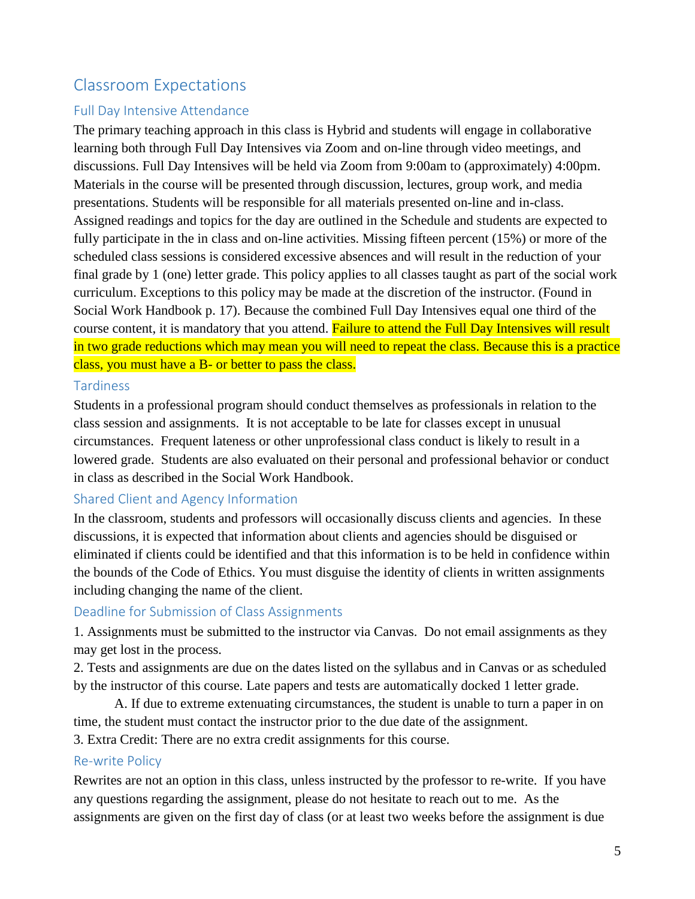# Classroom Expectations

## Full Day Intensive Attendance

The primary teaching approach in this class is Hybrid and students will engage in collaborative learning both through Full Day Intensives via Zoom and on-line through video meetings, and discussions. Full Day Intensives will be held via Zoom from 9:00am to (approximately) 4:00pm. Materials in the course will be presented through discussion, lectures, group work, and media presentations. Students will be responsible for all materials presented on-line and in-class. Assigned readings and topics for the day are outlined in the Schedule and students are expected to fully participate in the in class and on-line activities. Missing fifteen percent (15%) or more of the scheduled class sessions is considered excessive absences and will result in the reduction of your final grade by 1 (one) letter grade. This policy applies to all classes taught as part of the social work curriculum. Exceptions to this policy may be made at the discretion of the instructor. (Found in Social Work Handbook p. 17). Because the combined Full Day Intensives equal one third of the course content, it is mandatory that you attend. Failure to attend the Full Day Intensives will result in two grade reductions which may mean you will need to repeat the class. Because this is a practice class, you must have a B- or better to pass the class.

## **Tardiness**

Students in a professional program should conduct themselves as professionals in relation to the class session and assignments. It is not acceptable to be late for classes except in unusual circumstances. Frequent lateness or other unprofessional class conduct is likely to result in a lowered grade. Students are also evaluated on their personal and professional behavior or conduct in class as described in the Social Work Handbook.

## Shared Client and Agency Information

In the classroom, students and professors will occasionally discuss clients and agencies. In these discussions, it is expected that information about clients and agencies should be disguised or eliminated if clients could be identified and that this information is to be held in confidence within the bounds of the Code of Ethics. You must disguise the identity of clients in written assignments including changing the name of the client.

## Deadline for Submission of Class Assignments

1. Assignments must be submitted to the instructor via Canvas. Do not email assignments as they may get lost in the process.

2. Tests and assignments are due on the dates listed on the syllabus and in Canvas or as scheduled by the instructor of this course. Late papers and tests are automatically docked 1 letter grade.

 A. If due to extreme extenuating circumstances, the student is unable to turn a paper in on time, the student must contact the instructor prior to the due date of the assignment.

3. Extra Credit: There are no extra credit assignments for this course.

#### Re-write Policy

Rewrites are not an option in this class, unless instructed by the professor to re-write. If you have any questions regarding the assignment, please do not hesitate to reach out to me. As the assignments are given on the first day of class (or at least two weeks before the assignment is due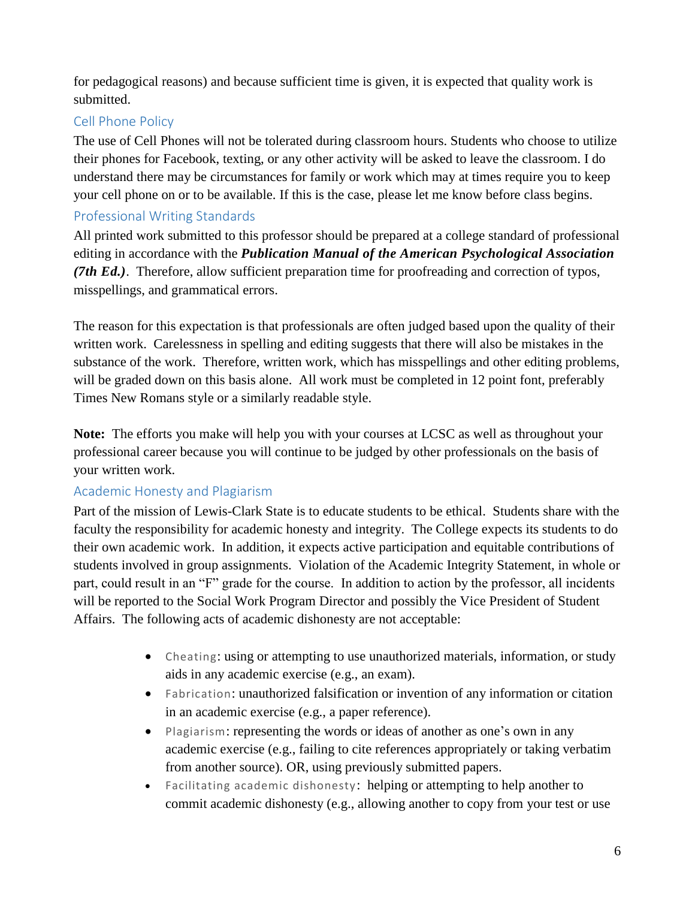for pedagogical reasons) and because sufficient time is given, it is expected that quality work is submitted.

## Cell Phone Policy

The use of Cell Phones will not be tolerated during classroom hours. Students who choose to utilize their phones for Facebook, texting, or any other activity will be asked to leave the classroom. I do understand there may be circumstances for family or work which may at times require you to keep your cell phone on or to be available. If this is the case, please let me know before class begins.

# Professional Writing Standards

All printed work submitted to this professor should be prepared at a college standard of professional editing in accordance with the *Publication Manual of the American Psychological Association (7th Ed.)*. Therefore, allow sufficient preparation time for proofreading and correction of typos, misspellings, and grammatical errors.

The reason for this expectation is that professionals are often judged based upon the quality of their written work. Carelessness in spelling and editing suggests that there will also be mistakes in the substance of the work. Therefore, written work, which has misspellings and other editing problems, will be graded down on this basis alone. All work must be completed in 12 point font, preferably Times New Romans style or a similarly readable style.

**Note:** The efforts you make will help you with your courses at LCSC as well as throughout your professional career because you will continue to be judged by other professionals on the basis of your written work.

## Academic Honesty and Plagiarism

Part of the mission of Lewis-Clark State is to educate students to be ethical. Students share with the faculty the responsibility for academic honesty and integrity. The College expects its students to do their own academic work. In addition, it expects active participation and equitable contributions of students involved in group assignments. Violation of the Academic Integrity Statement, in whole or part, could result in an "F" grade for the course. In addition to action by the professor, all incidents will be reported to the Social Work Program Director and possibly the Vice President of Student Affairs. The following acts of academic dishonesty are not acceptable:

- Cheating: using or attempting to use unauthorized materials, information, or study aids in any academic exercise (e.g., an exam).
- Fabrication: unauthorized falsification or invention of any information or citation in an academic exercise (e.g., a paper reference).
- Plagiarism: representing the words or ideas of another as one's own in any academic exercise (e.g., failing to cite references appropriately or taking verbatim from another source). OR, using previously submitted papers.
- Facilitating academic dishonesty: helping or attempting to help another to commit academic dishonesty (e.g., allowing another to copy from your test or use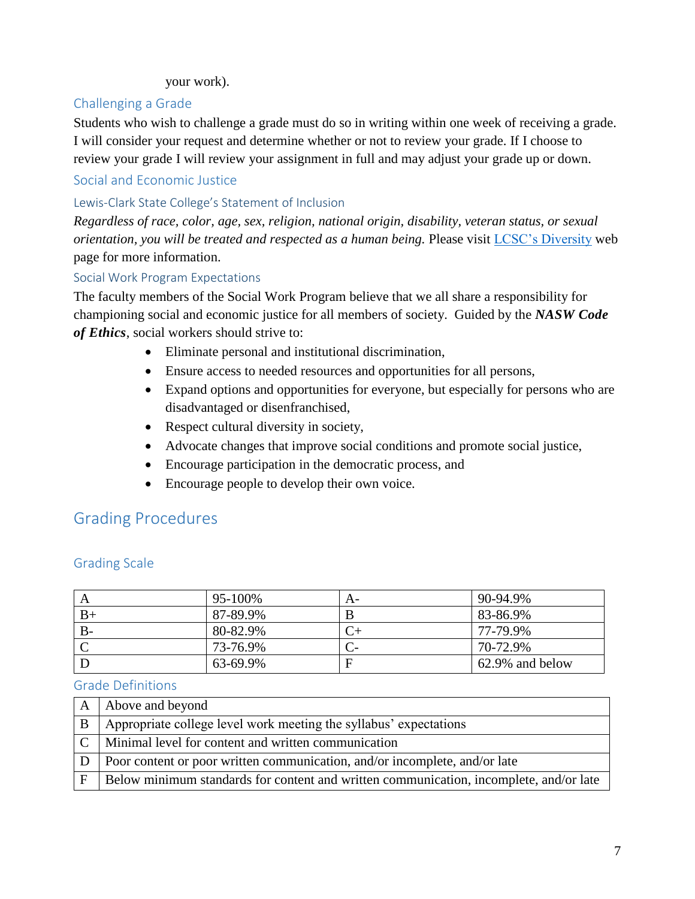#### your work).

#### Challenging a Grade

Students who wish to challenge a grade must do so in writing within one week of receiving a grade. I will consider your request and determine whether or not to review your grade. If I choose to review your grade I will review your assignment in full and may adjust your grade up or down.

## Social and Economic Justice

#### Lewis-Clark State College's Statement of Inclusion

*Regardless of race, color, age, sex, religion, national origin, disability, veteran status, or sexual orientation, you will be treated and respected as a human being.* Please visit [LCSC's Diversity](http://www.lcsc.edu/diversity/) web page for more information.

#### Social Work Program Expectations

The faculty members of the Social Work Program believe that we all share a responsibility for championing social and economic justice for all members of society. Guided by the *NASW Code of Ethics*, social workers should strive to:

- Eliminate personal and institutional discrimination,
- Ensure access to needed resources and opportunities for all persons,
- Expand options and opportunities for everyone, but especially for persons who are disadvantaged or disenfranchised,
- Respect cultural diversity in society,
- Advocate changes that improve social conditions and promote social justice,
- Encourage participation in the democratic process, and
- Encourage people to develop their own voice.

# Grading Procedures

|      | 95-100%  | A- | 90-94.9%        |
|------|----------|----|-----------------|
| $B+$ | 87-89.9% |    | 83-86.9%        |
| B-   | 80-82.9% |    | 77-79.9%        |
|      | 73-76.9% |    | 70-72.9%        |
|      | 63-69.9% |    | 62.9% and below |

## Grading Scale

#### Grade Definitions

|              | A Above and beyond                                                                     |
|--------------|----------------------------------------------------------------------------------------|
| $\mathbf{B}$ | Appropriate college level work meeting the syllabus' expectations                      |
|              | $ C $ Minimal level for content and written communication                              |
|              | $ D $ Poor content or poor written communication, and/or incomplete, and/or late       |
| F            | Below minimum standards for content and written communication, incomplete, and/or late |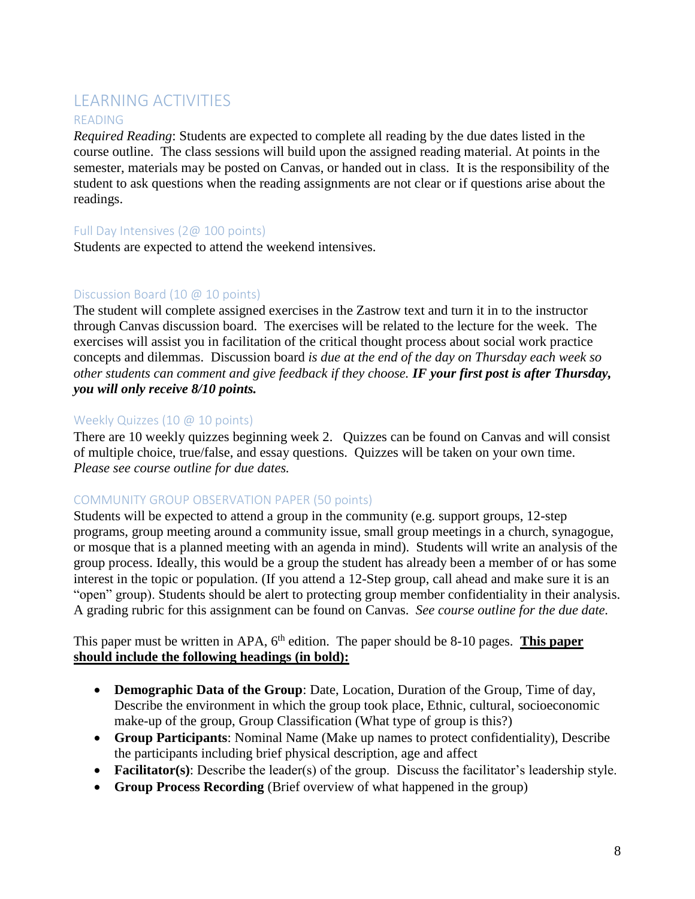# LEARNING ACTIVITIES

#### READING

*Required Reading*: Students are expected to complete all reading by the due dates listed in the course outline. The class sessions will build upon the assigned reading material. At points in the semester, materials may be posted on Canvas, or handed out in class. It is the responsibility of the student to ask questions when the reading assignments are not clear or if questions arise about the readings.

#### Full Day Intensives (2@ 100 points)

Students are expected to attend the weekend intensives.

#### Discussion Board (10 @ 10 points)

The student will complete assigned exercises in the Zastrow text and turn it in to the instructor through Canvas discussion board. The exercises will be related to the lecture for the week. The exercises will assist you in facilitation of the critical thought process about social work practice concepts and dilemmas. Discussion board *is due at the end of the day on Thursday each week so other students can comment and give feedback if they choose. IF your first post is after Thursday, you will only receive 8/10 points.* 

#### Weekly Quizzes (10 @ 10 points)

There are 10 weekly quizzes beginning week 2. Quizzes can be found on Canvas and will consist of multiple choice, true/false, and essay questions. Quizzes will be taken on your own time. *Please see course outline for due dates.*

#### COMMUNITY GROUP OBSERVATION PAPER (50 points)

Students will be expected to attend a group in the community (e.g. support groups, 12-step programs, group meeting around a community issue, small group meetings in a church, synagogue, or mosque that is a planned meeting with an agenda in mind). Students will write an analysis of the group process. Ideally, this would be a group the student has already been a member of or has some interest in the topic or population. (If you attend a 12-Step group, call ahead and make sure it is an "open" group). Students should be alert to protecting group member confidentiality in their analysis. A grading rubric for this assignment can be found on Canvas. *See course outline for the due date.*

This paper must be written in APA, 6<sup>th</sup> edition. The paper should be 8-10 pages. **This paper should include the following headings (in bold):**

- **Demographic Data of the Group**: Date, Location, Duration of the Group, Time of day, Describe the environment in which the group took place, Ethnic, cultural, socioeconomic make-up of the group, Group Classification (What type of group is this?)
- **Group Participants**: Nominal Name (Make up names to protect confidentiality), Describe the participants including brief physical description, age and affect
- **Facilitator(s)**: Describe the leader(s) of the group. Discuss the facilitator's leadership style.
- **Group Process Recording** (Brief overview of what happened in the group)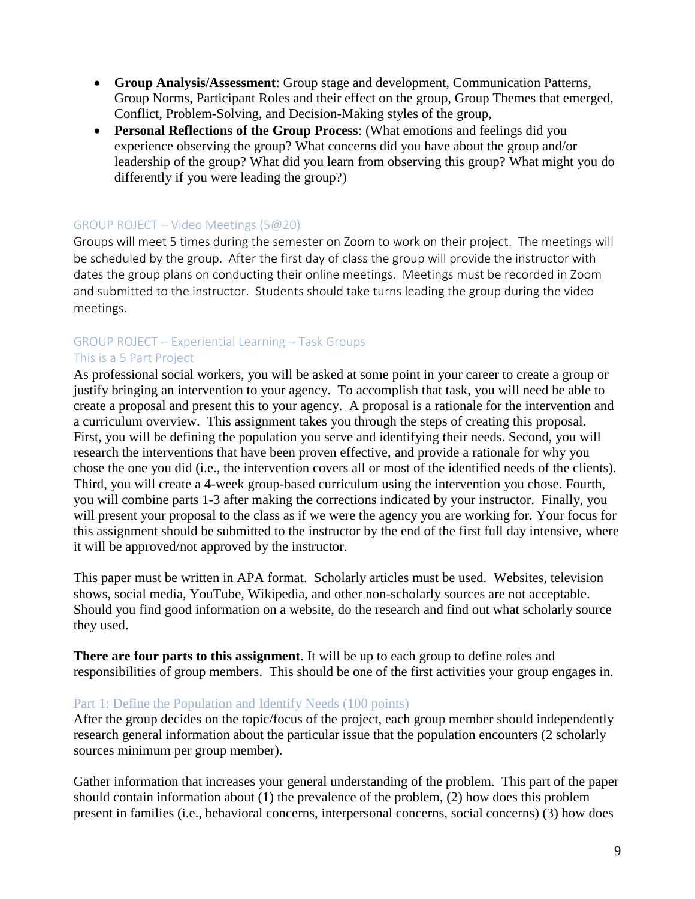- **Group Analysis/Assessment**: Group stage and development, Communication Patterns, Group Norms, Participant Roles and their effect on the group, Group Themes that emerged, Conflict, Problem-Solving, and Decision-Making styles of the group,
- **Personal Reflections of the Group Process**: (What emotions and feelings did you experience observing the group? What concerns did you have about the group and/or leadership of the group? What did you learn from observing this group? What might you do differently if you were leading the group?)

#### GROUP ROJECT – Video Meetings (5@20)

Groups will meet 5 times during the semester on Zoom to work on their project. The meetings will be scheduled by the group. After the first day of class the group will provide the instructor with dates the group plans on conducting their online meetings. Meetings must be recorded in Zoom and submitted to the instructor. Students should take turns leading the group during the video meetings.

#### GROUP ROJECT – Experiential Learning – Task Groups This is a 5 Part Project

As professional social workers, you will be asked at some point in your career to create a group or justify bringing an intervention to your agency. To accomplish that task, you will need be able to create a proposal and present this to your agency. A proposal is a rationale for the intervention and a curriculum overview. This assignment takes you through the steps of creating this proposal. First, you will be defining the population you serve and identifying their needs. Second, you will research the interventions that have been proven effective, and provide a rationale for why you chose the one you did (i.e., the intervention covers all or most of the identified needs of the clients). Third, you will create a 4-week group-based curriculum using the intervention you chose. Fourth, you will combine parts 1-3 after making the corrections indicated by your instructor. Finally, you will present your proposal to the class as if we were the agency you are working for. Your focus for this assignment should be submitted to the instructor by the end of the first full day intensive, where it will be approved/not approved by the instructor.

This paper must be written in APA format. Scholarly articles must be used. Websites, television shows, social media, YouTube, Wikipedia, and other non-scholarly sources are not acceptable. Should you find good information on a website, do the research and find out what scholarly source they used.

**There are four parts to this assignment**. It will be up to each group to define roles and responsibilities of group members. This should be one of the first activities your group engages in.

#### Part 1: Define the Population and Identify Needs (100 points)

After the group decides on the topic/focus of the project, each group member should independently research general information about the particular issue that the population encounters (2 scholarly sources minimum per group member).

Gather information that increases your general understanding of the problem. This part of the paper should contain information about  $(1)$  the prevalence of the problem,  $(2)$  how does this problem present in families (i.e., behavioral concerns, interpersonal concerns, social concerns) (3) how does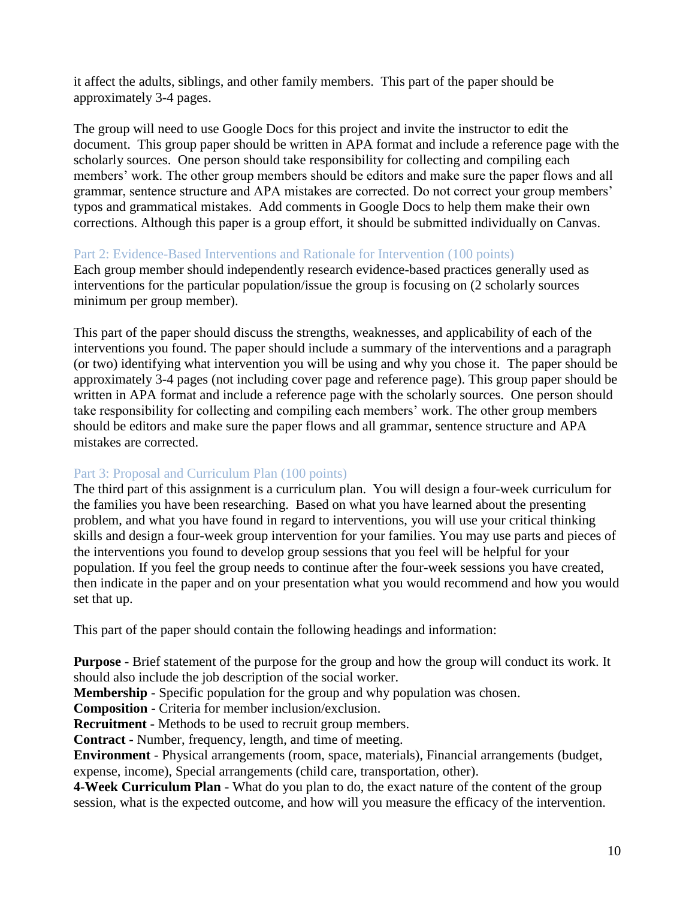it affect the adults, siblings, and other family members. This part of the paper should be approximately 3-4 pages.

The group will need to use Google Docs for this project and invite the instructor to edit the document. This group paper should be written in APA format and include a reference page with the scholarly sources. One person should take responsibility for collecting and compiling each members' work. The other group members should be editors and make sure the paper flows and all grammar, sentence structure and APA mistakes are corrected. Do not correct your group members' typos and grammatical mistakes. Add comments in Google Docs to help them make their own corrections. Although this paper is a group effort, it should be submitted individually on Canvas.

#### Part 2: Evidence-Based Interventions and Rationale for Intervention (100 points)

Each group member should independently research evidence-based practices generally used as interventions for the particular population/issue the group is focusing on (2 scholarly sources minimum per group member).

This part of the paper should discuss the strengths, weaknesses, and applicability of each of the interventions you found. The paper should include a summary of the interventions and a paragraph (or two) identifying what intervention you will be using and why you chose it. The paper should be approximately 3-4 pages (not including cover page and reference page). This group paper should be written in APA format and include a reference page with the scholarly sources. One person should take responsibility for collecting and compiling each members' work. The other group members should be editors and make sure the paper flows and all grammar, sentence structure and APA mistakes are corrected.

#### Part 3: Proposal and Curriculum Plan (100 points)

The third part of this assignment is a curriculum plan. You will design a four-week curriculum for the families you have been researching. Based on what you have learned about the presenting problem, and what you have found in regard to interventions, you will use your critical thinking skills and design a four-week group intervention for your families. You may use parts and pieces of the interventions you found to develop group sessions that you feel will be helpful for your population. If you feel the group needs to continue after the four-week sessions you have created, then indicate in the paper and on your presentation what you would recommend and how you would set that up.

This part of the paper should contain the following headings and information:

**Purpose** - Brief statement of the purpose for the group and how the group will conduct its work. It should also include the job description of the social worker.

**Membership** - Specific population for the group and why population was chosen.

**Composition -** Criteria for member inclusion/exclusion.

**Recruitment -** Methods to be used to recruit group members.

**Contract -** Number, frequency, length, and time of meeting.

**Environment** - Physical arrangements (room, space, materials), Financial arrangements (budget, expense, income), Special arrangements (child care, transportation, other).

**4-Week Curriculum Plan** - What do you plan to do, the exact nature of the content of the group session, what is the expected outcome, and how will you measure the efficacy of the intervention.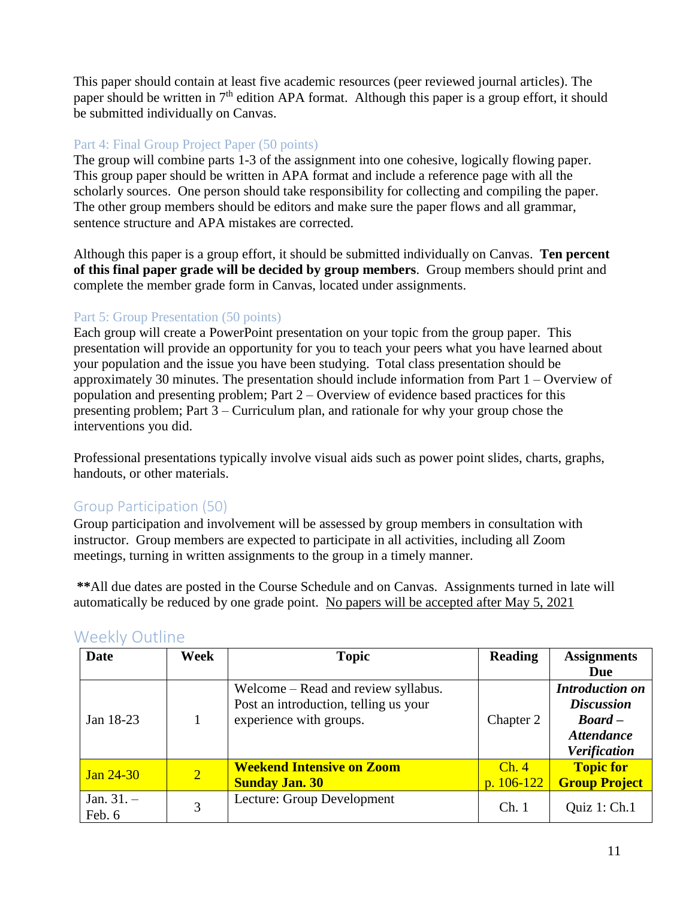This paper should contain at least five academic resources (peer reviewed journal articles). The paper should be written in 7<sup>th</sup> edition APA format. Although this paper is a group effort, it should be submitted individually on Canvas.

## Part 4: Final Group Project Paper (50 points)

The group will combine parts 1-3 of the assignment into one cohesive, logically flowing paper. This group paper should be written in APA format and include a reference page with all the scholarly sources. One person should take responsibility for collecting and compiling the paper. The other group members should be editors and make sure the paper flows and all grammar, sentence structure and APA mistakes are corrected.

Although this paper is a group effort, it should be submitted individually on Canvas. **Ten percent of this final paper grade will be decided by group members**. Group members should print and complete the member grade form in Canvas, located under assignments.

## Part 5: Group Presentation (50 points)

Each group will create a PowerPoint presentation on your topic from the group paper. This presentation will provide an opportunity for you to teach your peers what you have learned about your population and the issue you have been studying. Total class presentation should be approximately 30 minutes. The presentation should include information from Part 1 – Overview of population and presenting problem; Part 2 – Overview of evidence based practices for this presenting problem; Part 3 – Curriculum plan, and rationale for why your group chose the interventions you did.

Professional presentations typically involve visual aids such as power point slides, charts, graphs, handouts, or other materials.

# Group Participation (50)

Group participation and involvement will be assessed by group members in consultation with instructor. Group members are expected to participate in all activities, including all Zoom meetings, turning in written assignments to the group in a timely manner.

**\*\***All due dates are posted in the Course Schedule and on Canvas. Assignments turned in late will automatically be reduced by one grade point. No papers will be accepted after May 5, 2021

| Date                   | Week            | <b>Topic</b>                                                                                            | <b>Reading</b>       | <b>Assignments</b><br>Due                                                                            |
|------------------------|-----------------|---------------------------------------------------------------------------------------------------------|----------------------|------------------------------------------------------------------------------------------------------|
| Jan 18-23              |                 | Welcome – Read and review syllabus.<br>Post an introduction, telling us your<br>experience with groups. | Chapter 2            | <b>Introduction on</b><br><b>Discussion</b><br>$Board -$<br><b>Attendance</b><br><b>Verification</b> |
| $Jan 24-30$            | $\vert 2 \vert$ | <b>Weekend Intensive on Zoom</b><br><b>Sunday Jan. 30</b>                                               | Ch.4<br>$p. 106-122$ | <b>Topic for</b><br><b>Group Project</b>                                                             |
| Jan. $31. -$<br>Feb. 6 | 3               | Lecture: Group Development                                                                              | Ch.1                 | Quiz 1: Ch.1                                                                                         |

# Weekly Outline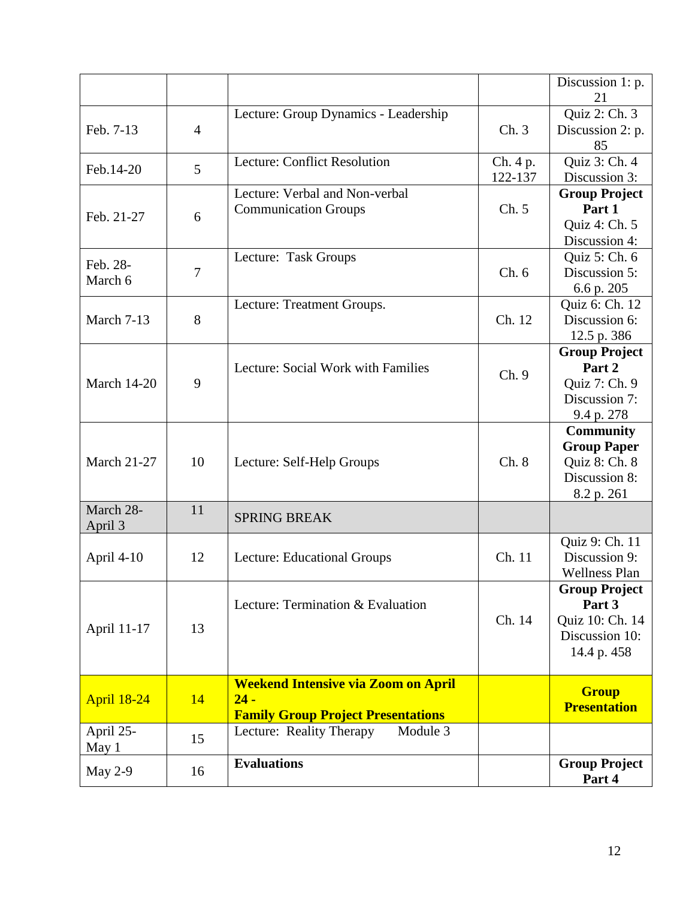|                      |                |                                                                                                   |                     | Discussion 1: p.<br>21                                                                 |
|----------------------|----------------|---------------------------------------------------------------------------------------------------|---------------------|----------------------------------------------------------------------------------------|
| Feb. 7-13            | $\overline{4}$ | Lecture: Group Dynamics - Leadership                                                              | Ch.3                | Quiz 2: Ch. 3<br>Discussion 2: p.<br>85                                                |
| Feb.14-20            | 5              | <b>Lecture: Conflict Resolution</b>                                                               | Ch. 4 p.<br>122-137 | Quiz 3: Ch. 4<br>Discussion 3:                                                         |
| Feb. 21-27           | 6              | Lecture: Verbal and Non-verbal<br><b>Communication Groups</b>                                     | Ch. 5               | <b>Group Project</b><br>Part 1<br>Quiz 4: Ch. 5<br>Discussion 4:                       |
| Feb. 28-<br>March 6  | $\overline{7}$ | Lecture: Task Groups                                                                              | Ch.6                | Quiz 5: Ch. 6<br>Discussion 5:<br>6.6 p. 205                                           |
| March 7-13           | 8              | Lecture: Treatment Groups.                                                                        | Ch. 12              | Quiz 6: Ch. 12<br>Discussion 6:<br>12.5 p. 386                                         |
| <b>March 14-20</b>   | 9              | Lecture: Social Work with Families                                                                | Ch.9                | <b>Group Project</b><br>Part 2<br>Quiz 7: Ch. 9<br>Discussion 7:<br>9.4 p. 278         |
| <b>March 21-27</b>   | 10             | Lecture: Self-Help Groups                                                                         | Ch. 8               | <b>Community</b><br><b>Group Paper</b><br>Quiz 8: Ch. 8<br>Discussion 8:<br>8.2 p. 261 |
| March 28-<br>April 3 | 11             | <b>SPRING BREAK</b>                                                                               |                     |                                                                                        |
| April 4-10           | 12             | Lecture: Educational Groups                                                                       | Ch. 11              | Quiz 9: Ch. 11<br>Discussion 9:<br><b>Wellness Plan</b>                                |
| April 11-17          | 13             | Lecture: Termination & Evaluation                                                                 | Ch. 14              | <b>Group Project</b><br>Part 3<br>Quiz 10: Ch. 14<br>Discussion 10:<br>14.4 p. 458     |
| <b>April 18-24</b>   | 14             | <b>Weekend Intensive via Zoom on April</b><br>$24 -$<br><b>Family Group Project Presentations</b> |                     | <b>Group</b><br><b>Presentation</b>                                                    |
| April 25-<br>May 1   | 15             | Module 3<br>Lecture: Reality Therapy                                                              |                     |                                                                                        |
| May $2-9$            | 16             | <b>Evaluations</b>                                                                                |                     | <b>Group Project</b><br>Part 4                                                         |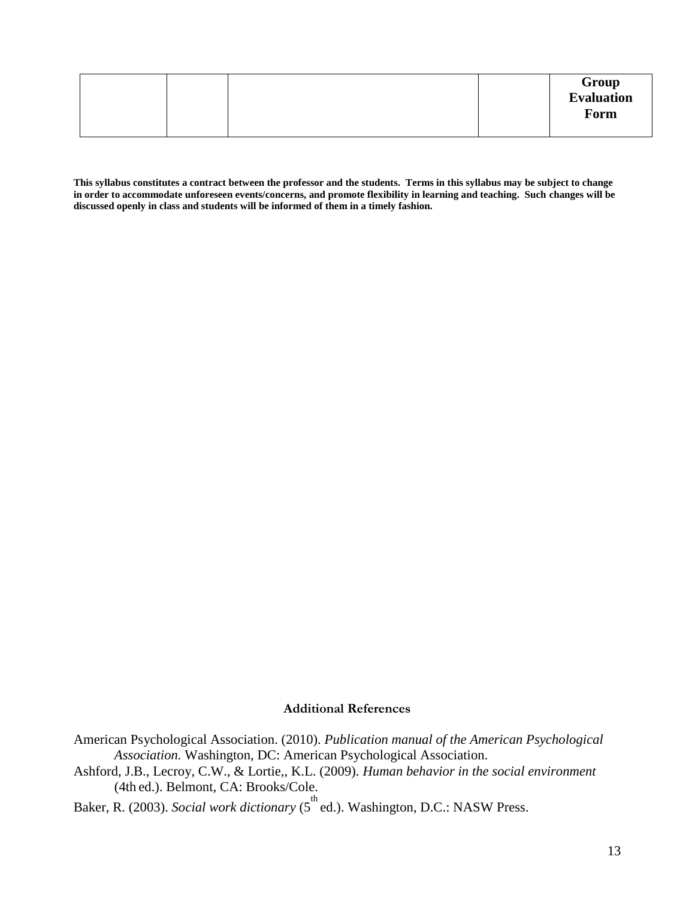**This syllabus constitutes a contract between the professor and the students. Terms in this syllabus may be subject to change in order to accommodate unforeseen events/concerns, and promote flexibility in learning and teaching. Such changes will be discussed openly in class and students will be informed of them in a timely fashion.**

#### **Additional References**

- American Psychological Association. (2010). *Publication manual of the American Psychological Association.* Washington, DC: American Psychological Association.
- Ashford, J.B., Lecroy, C.W., & Lortie,, K.L. (2009). *Human behavior in the social environment*  (4th ed.). Belmont, CA: Brooks/Cole.

Baker, R. (2003). *Social work dictionary* (5<sup>th</sup> ed.). Washington, D.C.: NASW Press.